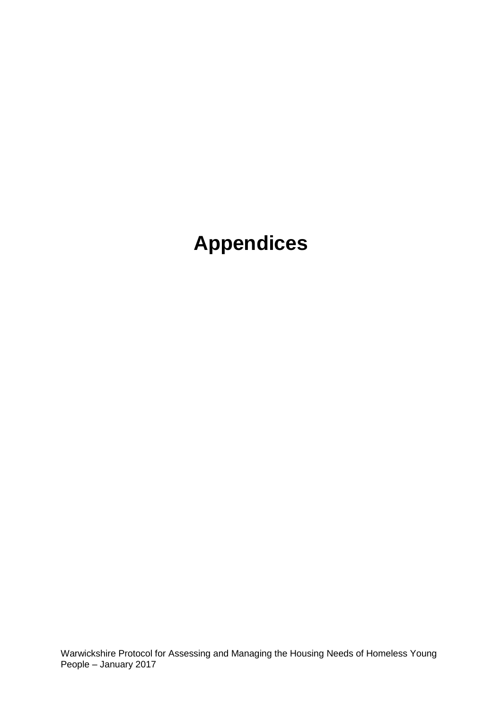# **Appendices**

Warwickshire Protocol for Assessing and Managing the Housing Needs of Homeless Young People – January 2017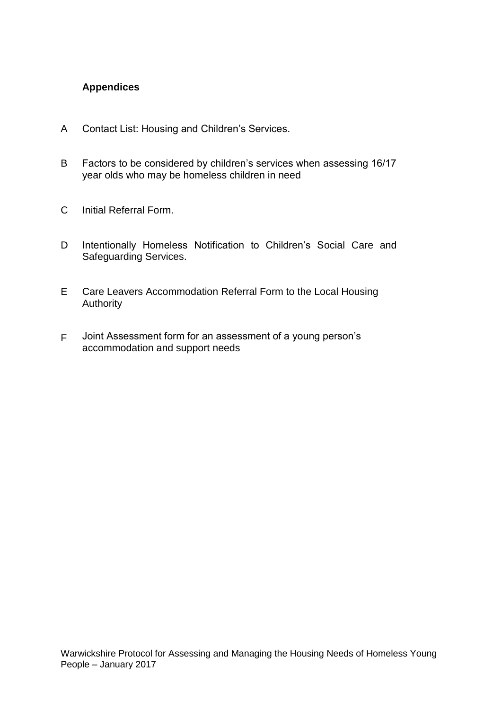#### **Appendices**

- A Contact List: Housing and Children's Services.
- B Factors to be considered by children's services when assessing 16/17 year olds who may be homeless children in need
- C Initial Referral Form.
- D Intentionally Homeless Notification to Children's Social Care and Safeguarding Services.
- E Care Leavers Accommodation Referral Form to the Local Housing **Authority**
- F Joint Assessment form for an assessment of a young person's accommodation and support needs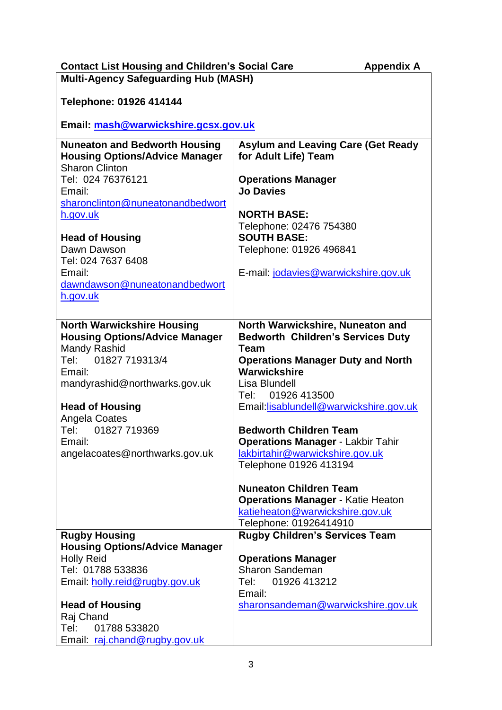| <b>Contact List Housing and Children's Social Care</b>                                                 | <b>Appendix A</b>                                                                    |
|--------------------------------------------------------------------------------------------------------|--------------------------------------------------------------------------------------|
| <b>Multi-Agency Safeguarding Hub (MASH)</b>                                                            |                                                                                      |
| Telephone: 01926 414144                                                                                |                                                                                      |
|                                                                                                        |                                                                                      |
| Email: mash@warwickshire.gcsx.gov.uk                                                                   |                                                                                      |
| <b>Nuneaton and Bedworth Housing</b><br><b>Housing Options/Advice Manager</b><br><b>Sharon Clinton</b> | <b>Asylum and Leaving Care (Get Ready</b><br>for Adult Life) Team                    |
| Tel: 024 76376121<br>Email:                                                                            | <b>Operations Manager</b><br><b>Jo Davies</b>                                        |
| sharonclinton@nuneatonandbedwort                                                                       |                                                                                      |
| h.gov.uk                                                                                               | <b>NORTH BASE:</b><br>Telephone: 02476 754380                                        |
| <b>Head of Housing</b>                                                                                 | <b>SOUTH BASE:</b>                                                                   |
| Dawn Dawson<br>Tel: 024 7637 6408                                                                      | Telephone: 01926 496841                                                              |
| Email:                                                                                                 | E-mail: jodavies@warwickshire.gov.uk                                                 |
| dawndawson@nuneatonandbedwort                                                                          |                                                                                      |
| h.gov.uk                                                                                               |                                                                                      |
|                                                                                                        |                                                                                      |
| <b>North Warwickshire Housing</b><br><b>Housing Options/Advice Manager</b><br>Mandy Rashid             | North Warwickshire, Nuneaton and<br><b>Bedworth Children's Services Duty</b><br>Team |
| 01827 719313/4<br>Tel:                                                                                 | <b>Operations Manager Duty and North</b>                                             |
| Email:                                                                                                 | Warwickshire                                                                         |
| mandyrashid@northwarks.gov.uk                                                                          | Lisa Blundell<br>01926 413500<br>Tel:                                                |
| <b>Head of Housing</b>                                                                                 | Email:lisablundell@warwickshire.gov.uk                                               |
| Angela Coates                                                                                          |                                                                                      |
| 01827 719369<br>Tel:                                                                                   | <b>Bedworth Children Team</b>                                                        |
| Email:                                                                                                 | <b>Operations Manager - Lakbir Tahir</b>                                             |
| angelacoates@northwarks.gov.uk                                                                         | lakbirtahir@warwickshire.gov.uk<br>Telephone 01926 413194                            |
|                                                                                                        |                                                                                      |
|                                                                                                        | <b>Nuneaton Children Team</b>                                                        |
|                                                                                                        | <b>Operations Manager - Katie Heaton</b>                                             |
|                                                                                                        | katieheaton@warwickshire.gov.uk<br>Telephone: 01926414910                            |
| <b>Rugby Housing</b>                                                                                   | <b>Rugby Children's Services Team</b>                                                |
| <b>Housing Options/Advice Manager</b>                                                                  |                                                                                      |
| <b>Holly Reid</b>                                                                                      | <b>Operations Manager</b>                                                            |
| Tel: 01788 533836<br>Email: holly.reid@rugby.gov.uk                                                    | <b>Sharon Sandeman</b><br>01926 413212<br>Tel:                                       |
|                                                                                                        | Email:                                                                               |
| <b>Head of Housing</b>                                                                                 | sharonsandeman@warwickshire.gov.uk                                                   |
| Raj Chand<br>01788 533820<br>Tel: T                                                                    |                                                                                      |
| Email: raj.chand@rugby.gov.uk                                                                          |                                                                                      |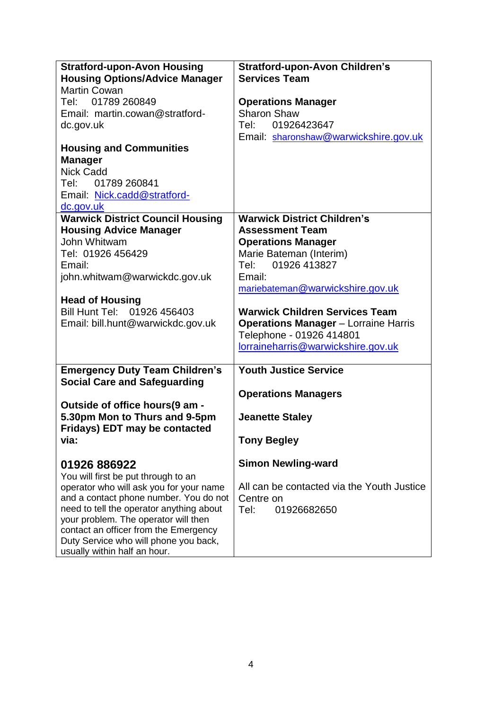| <b>Stratford-upon-Avon Housing</b>                                             | <b>Stratford-upon-Avon Children's</b>       |
|--------------------------------------------------------------------------------|---------------------------------------------|
| <b>Housing Options/Advice Manager</b>                                          | <b>Services Team</b>                        |
| Martin Cowan                                                                   |                                             |
| Tel: 01789 260849                                                              | <b>Operations Manager</b>                   |
| Email: martin.cowan@stratford-                                                 | Sharon Shaw                                 |
| dc.gov.uk                                                                      | 01926423647<br>Tel:                         |
| <b>Housing and Communities</b>                                                 | Email: sharonshaw@warwickshire.gov.uk       |
| <b>Manager</b>                                                                 |                                             |
| <b>Nick Cadd</b>                                                               |                                             |
| Tel: 01789 260841                                                              |                                             |
| Email: Nick.cadd@stratford-                                                    |                                             |
| dc.gov.uk                                                                      |                                             |
| <b>Warwick District Council Housing</b>                                        | <b>Warwick District Children's</b>          |
| <b>Housing Advice Manager</b>                                                  | <b>Assessment Team</b>                      |
| John Whitwam                                                                   | <b>Operations Manager</b>                   |
| Tel: 01926 456429                                                              | Marie Bateman (Interim)                     |
| Email:                                                                         | Tel: 01926 413827                           |
| john.whitwam@warwickdc.gov.uk                                                  | Email:                                      |
|                                                                                | mariebateman@warwickshire.gov.uk            |
| <b>Head of Housing</b><br>Bill Hunt Tel: 01926 456403                          | <b>Warwick Children Services Team</b>       |
| Email: bill.hunt@warwickdc.gov.uk                                              | <b>Operations Manager</b> - Lorraine Harris |
|                                                                                | Telephone - 01926 414801                    |
|                                                                                | lorraineharris@warwickshire.gov.uk          |
|                                                                                |                                             |
| <b>Emergency Duty Team Children's</b>                                          | <b>Youth Justice Service</b>                |
| <b>Social Care and Safeguarding</b>                                            |                                             |
|                                                                                | <b>Operations Managers</b>                  |
| Outside of office hours(9 am -                                                 |                                             |
| 5.30pm Mon to Thurs and 9-5pm<br><b>Fridays) EDT may be contacted</b>          | <b>Jeanette Staley</b>                      |
| via:                                                                           | <b>Tony Begley</b>                          |
| 01926 886922                                                                   | <b>Simon Newling-ward</b>                   |
| You will first be put through to an                                            |                                             |
| operator who will ask you for your name                                        | All can be contacted via the Youth Justice  |
| and a contact phone number. You do not                                         | Centre on                                   |
| need to tell the operator anything about                                       | Tel:<br>01926682650                         |
| your problem. The operator will then                                           |                                             |
| contact an officer from the Emergency<br>Duty Service who will phone you back, |                                             |
| usually within half an hour.                                                   |                                             |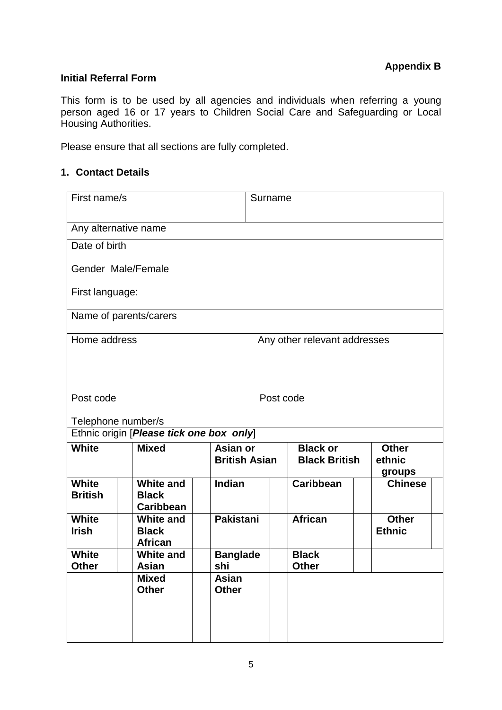#### **Initial Referral Form**

This form is to be used by all agencies and individuals when referring a young person aged 16 or 17 years to Children Social Care and Safeguarding or Local Housing Authorities.

Please ensure that all sections are fully completed.

#### **1. Contact Details**

| First name/s                                 |                                                    |                                  | Surname                                 |                                  |  |
|----------------------------------------------|----------------------------------------------------|----------------------------------|-----------------------------------------|----------------------------------|--|
|                                              | Any alternative name                               |                                  |                                         |                                  |  |
| Date of birth                                |                                                    |                                  |                                         |                                  |  |
|                                              | Gender Male/Female                                 |                                  |                                         |                                  |  |
| First language:                              |                                                    |                                  |                                         |                                  |  |
|                                              | Name of parents/carers                             |                                  |                                         |                                  |  |
| Home address                                 |                                                    |                                  | Any other relevant addresses            |                                  |  |
| Post code<br>Post code<br>Telephone number/s |                                                    |                                  |                                         |                                  |  |
|                                              | Ethnic origin [Please tick one box only]           |                                  |                                         |                                  |  |
| <b>White</b>                                 | <b>Mixed</b>                                       | Asian or<br><b>British Asian</b> | <b>Black or</b><br><b>Black British</b> | <b>Other</b><br>ethnic<br>groups |  |
| <b>White</b><br><b>British</b>               | <b>White and</b><br><b>Black</b><br>Caribbean      | Indian                           | <b>Caribbean</b>                        | <b>Chinese</b>                   |  |
| <b>White</b><br><b>Irish</b>                 | <b>White and</b><br><b>Black</b><br><b>African</b> | <b>Pakistani</b>                 | <b>African</b>                          | <b>Other</b><br><b>Ethnic</b>    |  |
| <b>White</b><br><b>Other</b>                 | <b>White and</b><br>Asian                          | <b>Banglade</b><br>shi           | <b>Black</b><br><b>Other</b>            |                                  |  |
|                                              | <b>Mixed</b><br><b>Other</b>                       | Asian<br><b>Other</b>            |                                         |                                  |  |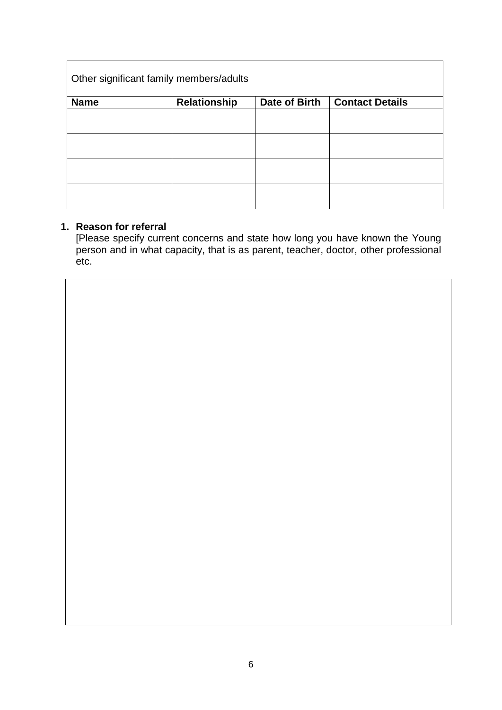| Other significant family members/adults |                     |               |                        |  |
|-----------------------------------------|---------------------|---------------|------------------------|--|
| <b>Name</b>                             | <b>Relationship</b> | Date of Birth | <b>Contact Details</b> |  |
|                                         |                     |               |                        |  |
|                                         |                     |               |                        |  |
|                                         |                     |               |                        |  |
|                                         |                     |               |                        |  |

#### **1. Reason for referral**

[Please specify current concerns and state how long you have known the Young person and in what capacity, that is as parent, teacher, doctor, other professional etc.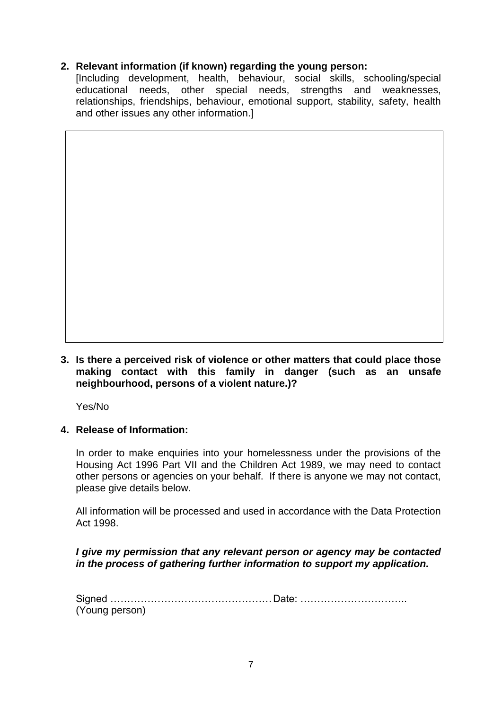#### **2. Relevant information (if known) regarding the young person:**

[Including development, health, behaviour, social skills, schooling/special educational needs, other special needs, strengths and weaknesses, relationships, friendships, behaviour, emotional support, stability, safety, health and other issues any other information.]

**3. Is there a perceived risk of violence or other matters that could place those making contact with this family in danger (such as an unsafe neighbourhood, persons of a violent nature.)?**

Yes/No

#### **4. Release of Information:**

In order to make enquiries into your homelessness under the provisions of the Housing Act 1996 Part VII and the Children Act 1989, we may need to contact other persons or agencies on your behalf. If there is anyone we may not contact, please give details below.

All information will be processed and used in accordance with the Data Protection Act 1998.

#### *I give my permission that any relevant person or agency may be contacted in the process of gathering further information to support my application.*

| (Young person) |  |
|----------------|--|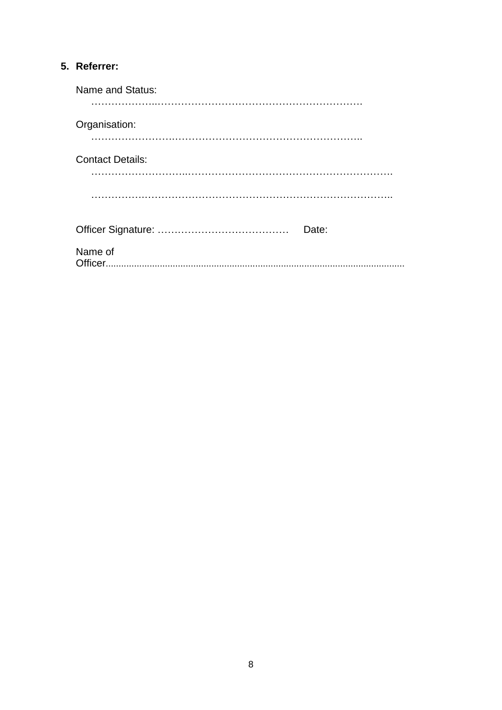## 5. Referrer:

| Name and Status:        |
|-------------------------|
| Organisation:           |
| <b>Contact Details:</b> |
|                         |
| Date:                   |
| Name of                 |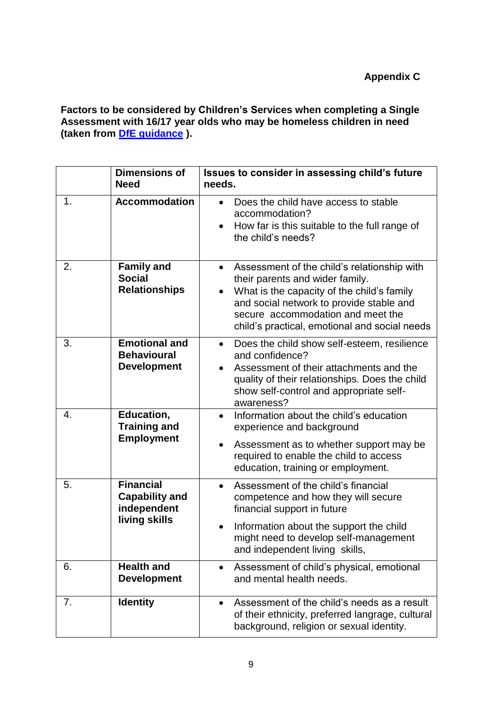**[Factors to be considered by Children's Services when](https://www.gov.uk/government/publications/provision-of-accommodation-for-16-and-17-year-olds-who-may-be-homeless-and-or-require-accommodation) completing a Single [Assessment with 16/17 year olds who may be homeless children in need](https://www.gov.uk/government/publications/provision-of-accommodation-for-16-and-17-year-olds-who-may-be-homeless-and-or-require-accommodation) (taken from [DfE guidance](https://www.gov.uk/government/uploads/system/uploads/attachment_data/file/8260/Provision_20of_20accommodation.pdf) ).**

|    | <b>Dimensions of</b><br><b>Need</b>                                       | Issues to consider in assessing child's future<br>needs.                                                                                                                                                                                                                    |
|----|---------------------------------------------------------------------------|-----------------------------------------------------------------------------------------------------------------------------------------------------------------------------------------------------------------------------------------------------------------------------|
| 1. | <b>Accommodation</b>                                                      | Does the child have access to stable<br>$\bullet$<br>accommodation?<br>How far is this suitable to the full range of<br>the child's needs?                                                                                                                                  |
| 2. | <b>Family and</b><br><b>Social</b><br><b>Relationships</b>                | Assessment of the child's relationship with<br>$\bullet$<br>their parents and wider family.<br>What is the capacity of the child's family<br>and social network to provide stable and<br>secure accommodation and meet the<br>child's practical, emotional and social needs |
| 3. | <b>Emotional and</b><br><b>Behavioural</b><br><b>Development</b>          | Does the child show self-esteem, resilience<br>$\bullet$<br>and confidence?<br>Assessment of their attachments and the<br>quality of their relationships. Does the child<br>show self-control and appropriate self-<br>awareness?                                           |
| 4. | Education,<br><b>Training and</b><br><b>Employment</b>                    | Information about the child's education<br>$\bullet$<br>experience and background<br>Assessment as to whether support may be<br>$\bullet$<br>required to enable the child to access<br>education, training or employment.                                                   |
| 5. | <b>Financial</b><br><b>Capability and</b><br>independent<br>living skills | Assessment of the child's financial<br>$\bullet$<br>competence and how they will secure<br>financial support in future<br>Information about the support the child<br>$\bullet$<br>might need to develop self-management<br>and independent living skills,                   |
| 6. | <b>Health and</b><br><b>Development</b>                                   | Assessment of child's physical, emotional<br>$\bullet$<br>and mental health needs.                                                                                                                                                                                          |
| 7. | <b>Identity</b>                                                           | Assessment of the child's needs as a result<br>$\bullet$<br>of their ethnicity, preferred langrage, cultural<br>background, religion or sexual identity.                                                                                                                    |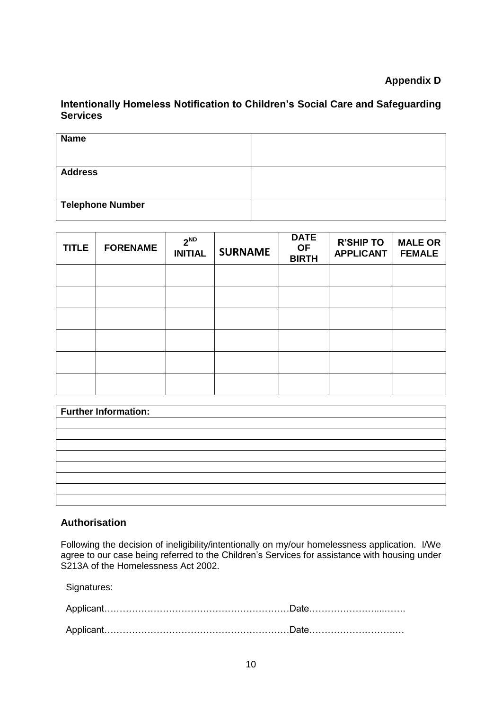#### **Appendix D**

#### **Intentionally Homeless Notification to Children's Social Care and Safeguarding Services**

| <b>Name</b>             |  |
|-------------------------|--|
| <b>Address</b>          |  |
| <b>Telephone Number</b> |  |

| <b>TITLE</b> | <b>FORENAME</b> | $2^{ND}$<br><b>INITIAL</b> | <b>SURNAME</b> | <b>DATE</b><br><b>OF</b><br><b>BIRTH</b> | <b>R'SHIP TO</b><br><b>APPLICANT</b> | <b>MALE OR</b><br><b>FEMALE</b> |
|--------------|-----------------|----------------------------|----------------|------------------------------------------|--------------------------------------|---------------------------------|
|              |                 |                            |                |                                          |                                      |                                 |
|              |                 |                            |                |                                          |                                      |                                 |
|              |                 |                            |                |                                          |                                      |                                 |
|              |                 |                            |                |                                          |                                      |                                 |
|              |                 |                            |                |                                          |                                      |                                 |
|              |                 |                            |                |                                          |                                      |                                 |

| <b>Further Information:</b> |  |
|-----------------------------|--|
|                             |  |
|                             |  |
|                             |  |
|                             |  |
|                             |  |
|                             |  |
|                             |  |
|                             |  |

#### **Authorisation**

Following the decision of ineligibility/intentionally on my/our homelessness application. I/We agree to our case being referred to the Children's Services for assistance with housing under S213A of the Homelessness Act 2002.

Signatures: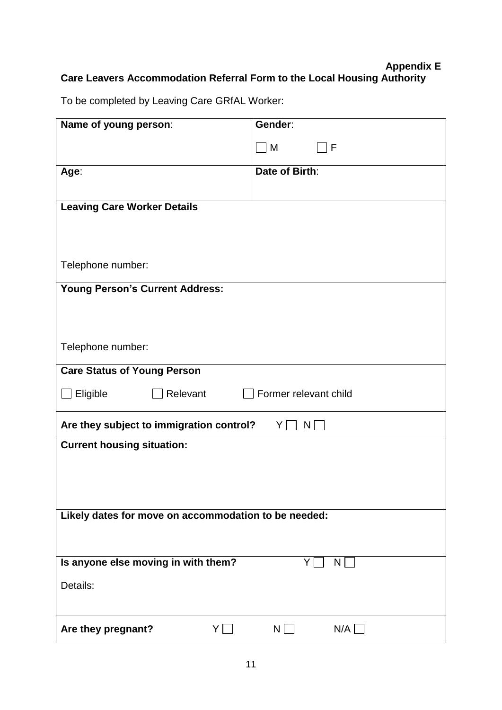## **Appendix E Care Leavers Accommodation Referral Form to the Local Housing Authority**

To be completed by Leaving Care GRfAL Worker:

| Name of young person:                                | Gender:               |
|------------------------------------------------------|-----------------------|
|                                                      |                       |
|                                                      | M<br>F                |
| Age:                                                 | Date of Birth:        |
|                                                      |                       |
|                                                      |                       |
| <b>Leaving Care Worker Details</b>                   |                       |
|                                                      |                       |
|                                                      |                       |
|                                                      |                       |
| Telephone number:                                    |                       |
|                                                      |                       |
| <b>Young Person's Current Address:</b>               |                       |
|                                                      |                       |
|                                                      |                       |
|                                                      |                       |
| Telephone number:                                    |                       |
|                                                      |                       |
| <b>Care Status of Young Person</b>                   |                       |
|                                                      |                       |
| Eligible<br>Relevant                                 | Former relevant child |
|                                                      |                       |
| Are they subject to immigration control?             | $Y \mid N \mid$       |
|                                                      |                       |
| <b>Current housing situation:</b>                    |                       |
|                                                      |                       |
|                                                      |                       |
|                                                      |                       |
|                                                      |                       |
| Likely dates for move on accommodation to be needed: |                       |
|                                                      |                       |
|                                                      |                       |
|                                                      |                       |
| Is anyone else moving in with them?                  | N<br>Y.               |
| Details:                                             |                       |
|                                                      |                       |
|                                                      |                       |
|                                                      |                       |
| Are they pregnant?<br>Y                              | N/A<br>N              |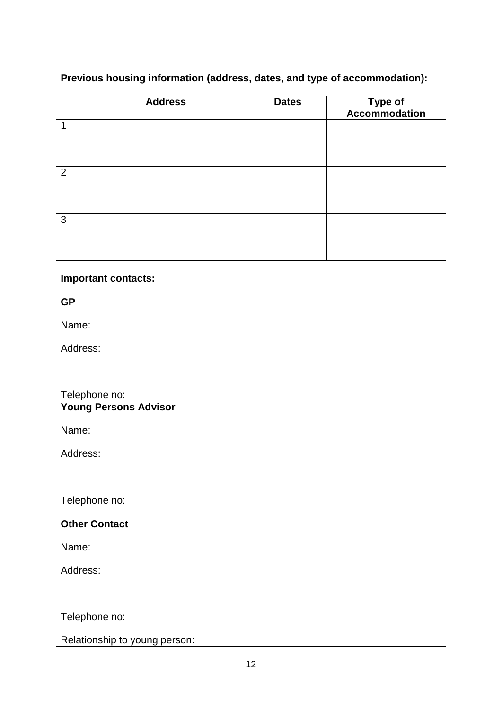## **Previous housing information (address, dates, and type of accommodation):**

|   | <b>Address</b> | <b>Dates</b> | Type of<br>Accommodation |
|---|----------------|--------------|--------------------------|
| 1 |                |              |                          |
| 2 |                |              |                          |
| 3 |                |              |                          |

## **Important contacts:**

| <b>GP</b>                     |
|-------------------------------|
|                               |
| Name:                         |
|                               |
| Address:                      |
|                               |
|                               |
|                               |
| Telephone no:                 |
| <b>Young Persons Advisor</b>  |
|                               |
| Name:                         |
|                               |
| Address:                      |
|                               |
|                               |
|                               |
| Telephone no:                 |
|                               |
| <b>Other Contact</b>          |
|                               |
| Name:                         |
|                               |
| Address:                      |
|                               |
|                               |
|                               |
| Telephone no:                 |
|                               |
| Relationship to young person: |
|                               |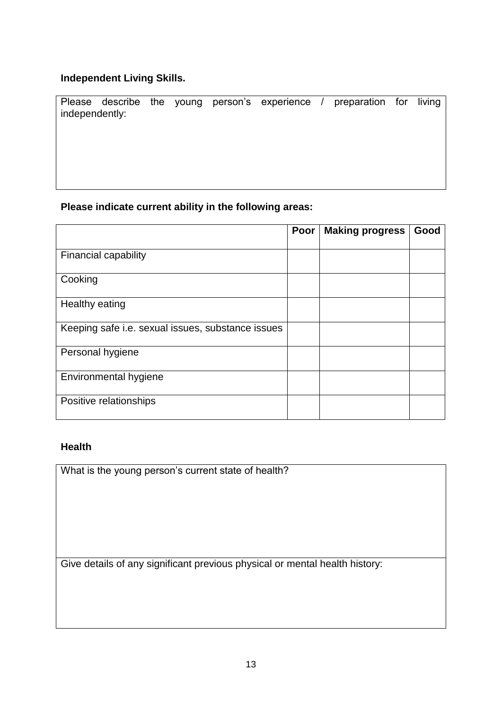#### **Independent Living Skills.**

Please describe the young person's experience / preparation for living independently:

#### **Please indicate current ability in the following areas:**

|                                                   | Poor | <b>Making progress</b> | Good |
|---------------------------------------------------|------|------------------------|------|
| <b>Financial capability</b>                       |      |                        |      |
| Cooking                                           |      |                        |      |
| Healthy eating                                    |      |                        |      |
| Keeping safe i.e. sexual issues, substance issues |      |                        |      |
| Personal hygiene                                  |      |                        |      |
| Environmental hygiene                             |      |                        |      |
| Positive relationships                            |      |                        |      |

#### **Health**

What is the young person's current state of health?

Give details of any significant previous physical or mental health history: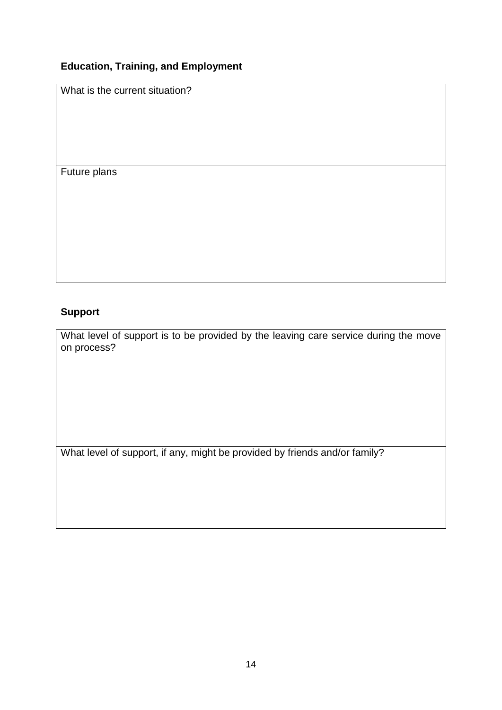## **Education, Training, and Employment**

What is the current situation?

Future plans

## **Support**

What level of support is to be provided by the leaving care service during the move on process?

What level of support, if any, might be provided by friends and/or family?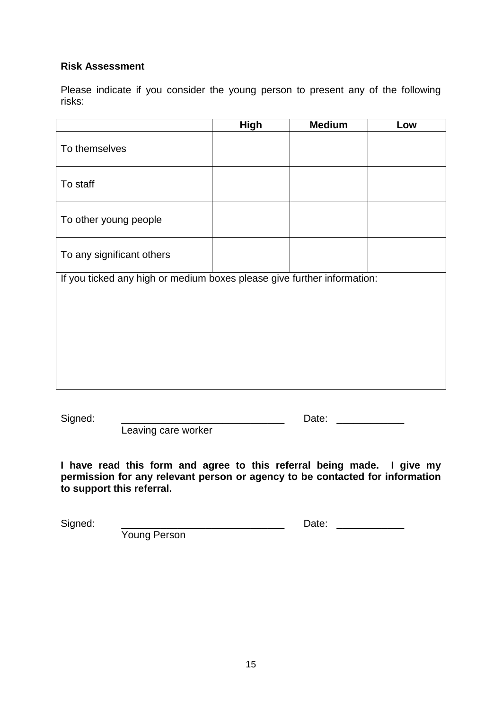#### **Risk Assessment**

Please indicate if you consider the young person to present any of the following risks:

|                                                                         | <b>High</b> | <b>Medium</b> | Low |  |
|-------------------------------------------------------------------------|-------------|---------------|-----|--|
| To themselves                                                           |             |               |     |  |
| To staff                                                                |             |               |     |  |
| To other young people                                                   |             |               |     |  |
| To any significant others                                               |             |               |     |  |
| If you ticked any high or medium boxes please give further information: |             |               |     |  |
|                                                                         |             |               |     |  |
|                                                                         |             |               |     |  |
|                                                                         |             |               |     |  |
|                                                                         |             |               |     |  |
|                                                                         |             |               |     |  |
|                                                                         |             |               |     |  |

Signed: \_\_\_\_\_\_\_\_\_\_\_\_\_\_\_\_\_\_\_\_\_\_\_\_\_\_\_\_\_ Date: \_\_\_\_\_\_\_\_\_\_\_\_

Leaving care worker

**I have read this form and agree to this referral being made. I give my permission for any relevant person or agency to be contacted for information to support this referral.**

Signed: \_\_\_\_\_\_\_\_\_\_\_\_\_\_\_\_\_\_\_\_\_\_\_\_\_\_\_\_\_ Date: \_\_\_\_\_\_\_\_\_\_\_\_

Young Person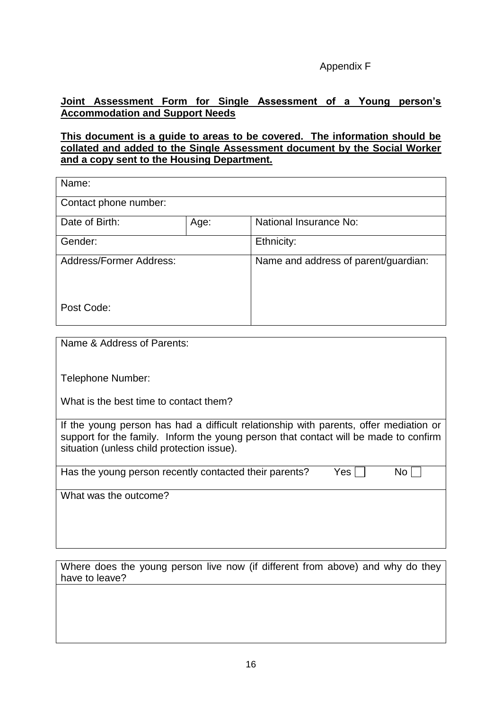#### Appendix F

#### **Joint Assessment Form for Single Assessment of a Young person's Accommodation and Support Needs**

#### **This document is a guide to areas to be covered. The information should be collated and added to the Single Assessment document by the Social Worker and a copy sent to the Housing Department.**

| Name:                          |      |                                      |
|--------------------------------|------|--------------------------------------|
| Contact phone number:          |      |                                      |
| Date of Birth:                 | Age: | National Insurance No:               |
| Gender:                        |      | Ethnicity:                           |
| <b>Address/Former Address:</b> |      | Name and address of parent/guardian: |
| Post Code:                     |      |                                      |

Name & Address of Parents:

Telephone Number:

What is the best time to contact them?

If the young person has had a difficult relationship with parents, offer mediation or support for the family. Inform the young person that contact will be made to confirm situation (unless child protection issue).

Has the young person recently contacted their parents? Yes  $\Box$  No  $\Box$ 

What was the outcome?

Where does the young person live now (if different from above) and why do they have to leave?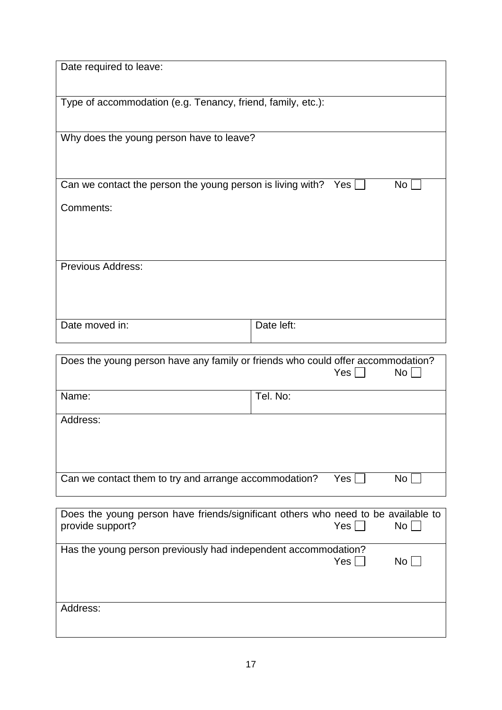| Date required to leave:                                                           |            |            |                 |  |  |
|-----------------------------------------------------------------------------------|------------|------------|-----------------|--|--|
|                                                                                   |            |            |                 |  |  |
| Type of accommodation (e.g. Tenancy, friend, family, etc.):                       |            |            |                 |  |  |
|                                                                                   |            |            |                 |  |  |
|                                                                                   |            |            |                 |  |  |
| Why does the young person have to leave?                                          |            |            |                 |  |  |
|                                                                                   |            |            |                 |  |  |
|                                                                                   |            |            |                 |  |  |
| Can we contact the person the young person is living with? Yes $\square$          |            |            | No <sub>1</sub> |  |  |
| Comments:                                                                         |            |            |                 |  |  |
|                                                                                   |            |            |                 |  |  |
|                                                                                   |            |            |                 |  |  |
|                                                                                   |            |            |                 |  |  |
| Previous Address:                                                                 |            |            |                 |  |  |
|                                                                                   |            |            |                 |  |  |
|                                                                                   |            |            |                 |  |  |
|                                                                                   |            |            |                 |  |  |
| Date moved in:                                                                    | Date left: |            |                 |  |  |
|                                                                                   |            |            |                 |  |  |
| Does the young person have any family or friends who could offer accommodation?   |            |            |                 |  |  |
|                                                                                   |            | Yes        | No <sub>1</sub> |  |  |
| Name:                                                                             | Tel. No:   |            |                 |  |  |
|                                                                                   |            |            |                 |  |  |
| Address:                                                                          |            |            |                 |  |  |
|                                                                                   |            |            |                 |  |  |
|                                                                                   |            |            |                 |  |  |
| Can we contact them to try and arrange accommodation?                             |            | $Yes \mid$ | No <sub>1</sub> |  |  |
|                                                                                   |            |            |                 |  |  |
|                                                                                   |            |            |                 |  |  |
| Does the young person have friends/significant others who need to be available to |            | Yes        | No              |  |  |
| provide support?                                                                  |            |            |                 |  |  |
| Has the young person previously had independent accommodation?                    |            |            |                 |  |  |
|                                                                                   |            | Yes $\Box$ | No              |  |  |
|                                                                                   |            |            |                 |  |  |
|                                                                                   |            |            |                 |  |  |
| Address:                                                                          |            |            |                 |  |  |
|                                                                                   |            |            |                 |  |  |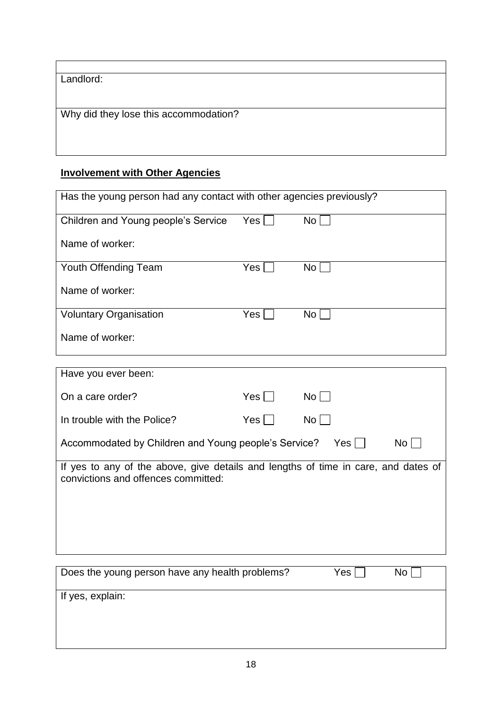|  | Landlord: |
|--|-----------|
|  |           |

Why did they lose this accommodation?

# **Involvement with Other Agencies**

| Has the young person had any contact with other agencies previously? |     |                 |  |  |  |
|----------------------------------------------------------------------|-----|-----------------|--|--|--|
| Children and Young people's Service                                  | Yes | No <sub>1</sub> |  |  |  |
| Name of worker:                                                      |     |                 |  |  |  |
| Youth Offending Team                                                 | Yes | No <sub>1</sub> |  |  |  |
| Name of worker:                                                      |     |                 |  |  |  |
| <b>Voluntary Organisation</b>                                        | Yes | No              |  |  |  |
| Name of worker:                                                      |     |                 |  |  |  |

| Have you ever been:                                                                                                       |       |             |
|---------------------------------------------------------------------------------------------------------------------------|-------|-------------|
| On a care order?                                                                                                          | Yes I | $No$        |
| In trouble with the Police?                                                                                               | Yes   | No l        |
| Accommodated by Children and Young people's Service?                                                                      |       | No l<br>Yes |
| If yes to any of the above, give details and lengths of time in care, and dates of<br>convictions and offences committed: |       |             |

| Does the young person have any health problems? | Yes | No |
|-------------------------------------------------|-----|----|
| If yes, explain:                                |     |    |
|                                                 |     |    |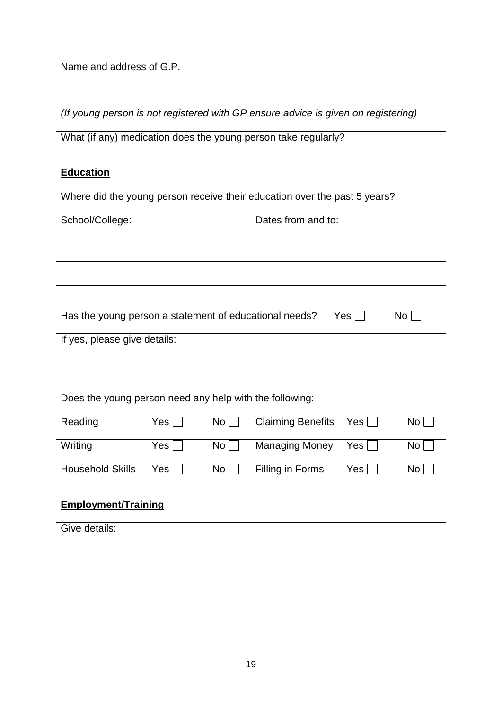Name and address of G.P.

*(If young person is not registered with GP ensure advice is given on registering)*

What (if any) medication does the young person take regularly?

## **Education**

| Where did the young person receive their education over the past 5 years?        |     |                 |                          |                    |                 |  |
|----------------------------------------------------------------------------------|-----|-----------------|--------------------------|--------------------|-----------------|--|
| School/College:                                                                  |     |                 |                          | Dates from and to: |                 |  |
|                                                                                  |     |                 |                          |                    |                 |  |
|                                                                                  |     |                 |                          |                    |                 |  |
|                                                                                  |     |                 |                          |                    |                 |  |
| Has the young person a statement of educational needs?<br>Yes<br>No <sub>1</sub> |     |                 |                          |                    |                 |  |
| If yes, please give details:                                                     |     |                 |                          |                    |                 |  |
| Does the young person need any help with the following:                          |     |                 |                          |                    |                 |  |
| Reading                                                                          | Yes | No <sub>1</sub> | <b>Claiming Benefits</b> | Yes                | No <sub>l</sub> |  |
| Writing                                                                          | Yes | No <sub>1</sub> | <b>Managing Money</b>    | Yes                | No <sub>1</sub> |  |
| <b>Household Skills</b>                                                          | Yes | No              | Filling in Forms         | Yes                | No <sub>1</sub> |  |

## **Employment/Training**

| Give details: |  |  |
|---------------|--|--|
|               |  |  |
|               |  |  |
|               |  |  |
|               |  |  |
|               |  |  |
|               |  |  |
|               |  |  |
|               |  |  |
|               |  |  |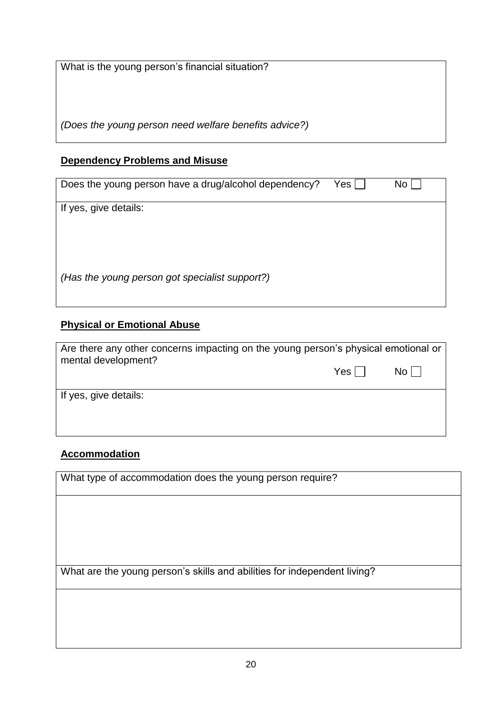What is the young person's financial situation?

*(Does the young person need welfare benefits advice?)*

#### **Dependency Problems and Misuse**

| Does the young person have a drug/alcohol dependency? | Yes | No |
|-------------------------------------------------------|-----|----|
| If yes, give details:                                 |     |    |
|                                                       |     |    |
| (Has the young person got specialist support?)        |     |    |

## **Physical or Emotional Abuse**

|                       | Are there any other concerns impacting on the young person's physical emotional or |      |  |
|-----------------------|------------------------------------------------------------------------------------|------|--|
| mental development?   | $Yes$                                                                              | $No$ |  |
| If yes, give details: |                                                                                    |      |  |

## **Accommodation**

What type of accommodation does the young person require?

What are the young person's skills and abilities for independent living?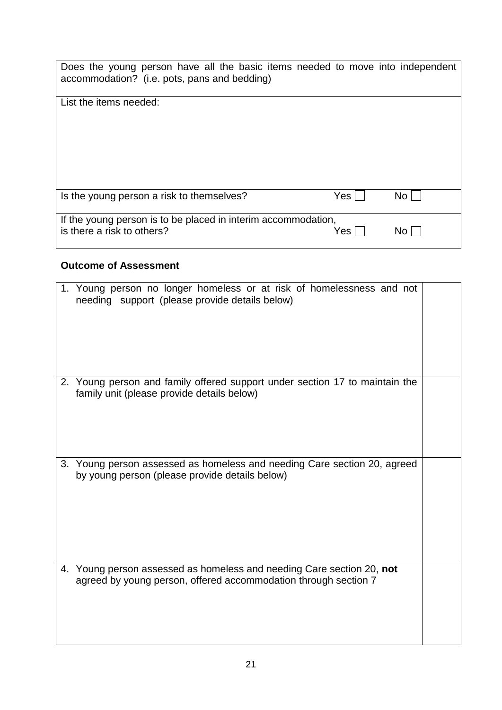| Does the young person have all the basic items needed to move into independent<br>accommodation? (i.e. pots, pans and bedding) |       |      |
|--------------------------------------------------------------------------------------------------------------------------------|-------|------|
| List the items needed:                                                                                                         |       |      |
| Is the young person a risk to themselves?                                                                                      | Yes l | No l |
| If the young person is to be placed in interim accommodation,<br>is there a risk to others?                                    | Yes.  | No.  |

## **Outcome of Assessment**

|    | 1. Young person no longer homeless or at risk of homelessness and not<br>needing support (please provide details below)                  |  |
|----|------------------------------------------------------------------------------------------------------------------------------------------|--|
|    | 2. Young person and family offered support under section 17 to maintain the<br>family unit (please provide details below)                |  |
| 3. | Young person assessed as homeless and needing Care section 20, agreed<br>by young person (please provide details below)                  |  |
|    | 4. Young person assessed as homeless and needing Care section 20, not<br>agreed by young person, offered accommodation through section 7 |  |